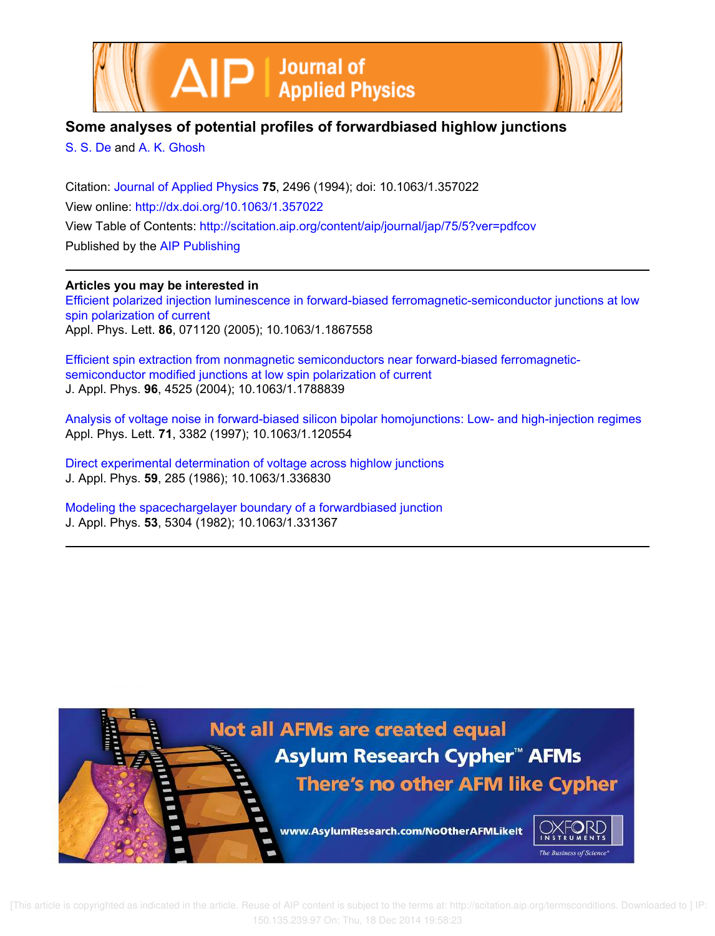



# **Some analyses of potential profiles of forwardbiased highlow junctions**

S. S. De and A. K. Ghosh

Citation: Journal of Applied Physics **75**, 2496 (1994); doi: 10.1063/1.357022 View online: http://dx.doi.org/10.1063/1.357022 View Table of Contents: http://scitation.aip.org/content/aip/journal/jap/75/5?ver=pdfcov Published by the AIP Publishing

## **Articles you may be interested in**

Efficient polarized injection luminescence in forward-biased ferromagnetic-semiconductor junctions at low spin polarization of current Appl. Phys. Lett. **86**, 071120 (2005); 10.1063/1.1867558

Efficient spin extraction from nonmagnetic semiconductors near forward-biased ferromagneticsemiconductor modified junctions at low spin polarization of current J. Appl. Phys. **96**, 4525 (2004); 10.1063/1.1788839

Analysis of voltage noise in forward-biased silicon bipolar homojunctions: Low- and high-injection regimes Appl. Phys. Lett. **71**, 3382 (1997); 10.1063/1.120554

Direct experimental determination of voltage across highlow junctions J. Appl. Phys. **59**, 285 (1986); 10.1063/1.336830

Modeling the spacechargelayer boundary of a forwardbiased junction J. Appl. Phys. **53**, 5304 (1982); 10.1063/1.331367

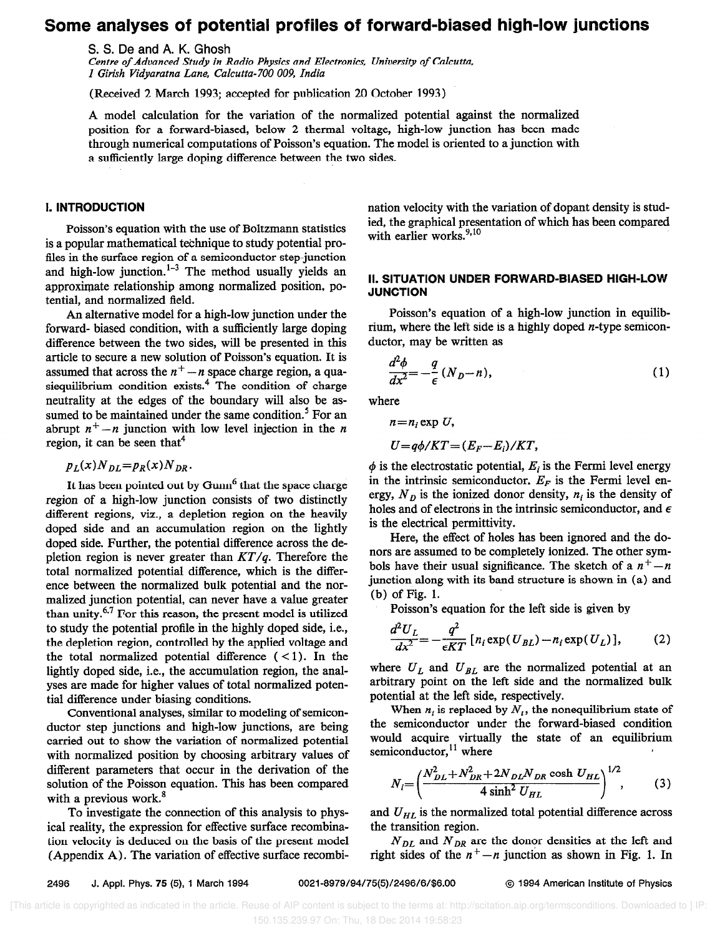## Some analyses of potential profiles of forward-biased high-low junctions

S. S. De and A. K. Ghosh

Centre of Advanced Study in Radio Physics and Electronics, University of Calcutta, I Girish Vidyaratna Lane, Calcutta-700 009, India

(Received 2 March 1993; accepted for publication 20 October 1993)

A model calculation for the variation of the normalized potential against the normalized position for a forward-biased, below 2 thermal voltage, high-low junction has been made through numerical computations of Poisson's equation. The model is oriented to a junction with a sufficiently large doping difference between the two sides.

### 1. INTRODUCTlON

Poisson's equation with the use of Boltzmann statistics is a popular mathematical technique to study potential protiles in the surface region of a semiconductor step-junction and high-low junction. $1-3$  The method usually yields an approximate relationship among normalized position, potential, and normalized field.

An alternative model for a high-low junction under the forward- biased condition, with a sufficiently large doping difference between the two sides, will be presented in this article to secure a new solution of Poisson's equation. It is assumed that across the  $n^+ - n$  space charge region, a quasiequilibrium condition exists.<sup>4</sup> The condition of charge neutrality at the edges of the boundary will also be assumed to be maintained under the same condition.<sup>5</sup> For an abrupt  $n^+ - n$  junction with low level injection in the n region, it can be seen that<sup>4</sup>

$$
p_L(x)N_{DL}=p_R(x)N_{DR}.
$$

It has been pointed out by  $Gunn<sup>6</sup>$  that the space charge region of a high-low junction consists of two distinctly different regions, viz., a depletion region on the heavily doped side and an accumulation region on the lightly doped side. Further, the potential difference across the depletion region is never greater than  $KT/q$ . Therefore the total normalized potential difference, which is the difference between the normalized bulk potential and the normalized junction potential, can never have a value greater than unity. $6.7$  For this reason, the present model is utilized to study the potential profile in the highly doped side, i.e., the depletion region, controlled by the applied voltage and the total normalized potential difference  $(<1)$ . In the lightly doped side, i.e., the accumulation region, the analyses are made for higher values of total normalized potential difference under biasing conditions.

Conventional analyses, similar to modeling of semiconductor step junctions and high-low junctions, are being carried out to show the variation of normalized potential with normalized position by choosing arbitrary values of different parameters that occur in the derivation of the solution of the Poisson equation. This has been compared with a previous work.<sup>8</sup>

To investigate the connection of this analysis to physical reality, the expression for effective surface recombination velocity is deduced on the basis of the present model (Appendix A). The variation of effective surface recombination velocity with the variation of dopant density is studied, the graphical presentation of which has been compared with earlier works.<sup>9,10</sup>

### Il. SITUATION UNDER FORWARD-BIASED HIGH-LOW JUNCTION

Poisson's equation of a high-low junction in equilibrium, where the left side is a highly doped  $n$ -type semiconductor, may be written as

$$
\frac{d^2\phi}{dx^2} = -\frac{q}{\epsilon} \left( N_D - n \right),\tag{1}
$$

where

$$
i = n_i \exp U,
$$

$$
U=q\phi/KT=(E_F-E_i)/KT,
$$

 $\phi$  is the electrostatic potential,  $E_i$  is the Fermi level energy in the intrinsic semiconductor,  $E_F$  is the Fermi level energy,  $N_D$  is the ionized donor density,  $n_i$  is the density of holes and of electrons in the intrinsic semiconductor, and  $\epsilon$ is the electrical permittivity.

Here, the effect of holes has been ignored and the donors are assumed to be completely ionized. The other symbols have their usual significance. The sketch of a  $n^+ - n$ junction along with its band structure is shown in (a) and (b) of Fig. 1.

Poisson's equation for the left side is given by

$$
\frac{d^2U_L}{dx^2} = -\frac{q^2}{\epsilon KT} \left[ n_i \exp(U_{BL}) - n_i \exp(U_L) \right],\tag{2}
$$

where  $U_L$  and  $U_{BL}$  are the normalized potential at an arbitrary point on the left side and the normalized bulk potential at the left side, respectively.

When  $n_i$  is replaced by  $N_i$ , the nonequilibrium state of the semiconductor under the forward-biased condition would acquire virtually the state of an equilibrium semiconductor, $^{11}$  where

$$
N_i = \left(\frac{N_{DL}^2 + N_{DR}^2 + 2N_{DL}N_{DR}\cosh U_{HL}}{4\sinh^2 U_{HL}}\right)^{1/2},\tag{3}
$$

and  $U_{HL}$  is the normalized total potential difference across the transition region.

 $N_{DL}$  and  $N_{DR}$  are the donor densities at the left and right sides of the  $n^{+} - n$  junction as shown in Fig. 1. In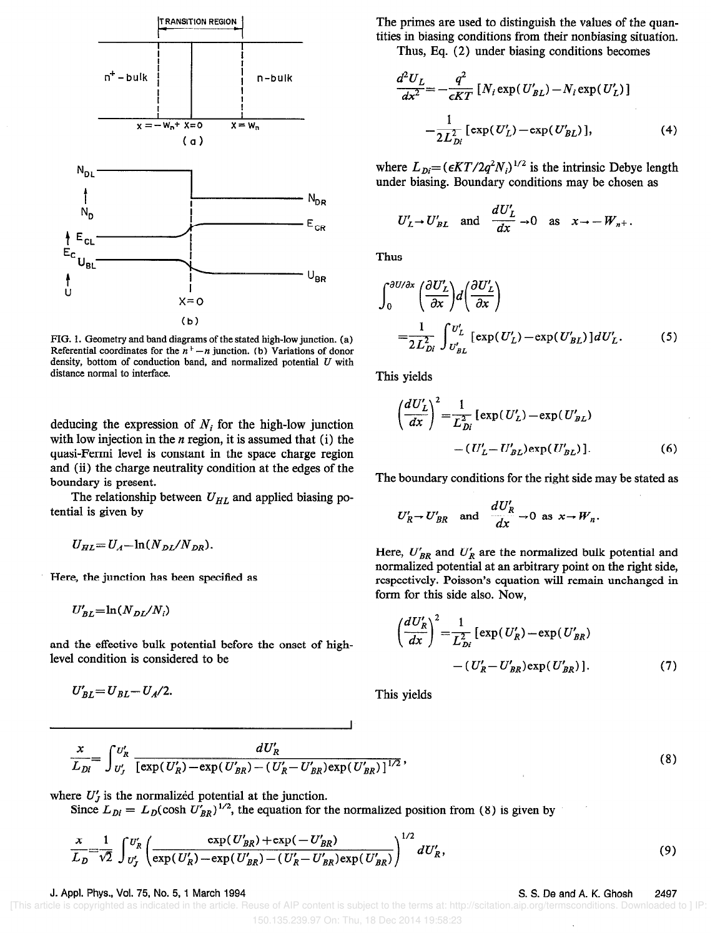

FIG. 1. Geometry and band diagrams of the stated high-low junction. (a) Referential coordinates for the  $n^+ - n$  junction. (b) Variations of donor density, bottom of conduction band, and normalized potential  $U$  with distance normal to interface.

deducing the expression of  $N_i$  for the high-low junction with low injection in the  $n$  region, it is assumed that (i) the quasi-Fermi level is constant in the space charge region and (ii) the charge neutrality condition at the edges of the boundary is present.

The relationship between  $U_{HL}$  and applied biasing potential is given by

$$
U_{HL} = U_A - \ln(N_{DL}/N_{DR})
$$

Here, the junction has been specified as

 $U'_{BL} = \ln(N_{DL}/N_i)$ 

and the effective bulk potential before the onset of highlevel condition is considered to be

 $U_{BL}' = U_{BL} - U_{A}/2.$ 

The primes are used to distinguish the values of the quantities in biasing conditions from their nonbiasing situation.

Thus, Eq. (2) under biasing conditions becomes

$$
\frac{d^2 U_L}{dx^2} = -\frac{q^2}{\epsilon KT} \left[ N_i \exp(U_{BL}') - N_i \exp(U_L') \right]
$$

$$
= \frac{1}{2L_{Di}^2} \left[ \exp(U_L') - \exp(U_{BL}') \right], \tag{4}
$$

where  $L_{Di} = (\epsilon KT/2q^2 N_i)^{1/2}$  is the intrinsic Debye length under biasing. Boundary conditions may be chosen as

$$
U'_L \to U'_{BL}
$$
 and  $\frac{dU'_L}{dx} \to 0$  as  $x \to -W_{n+}$ .

Thus

$$
\int_0^{\partial U/\partial x} \left(\frac{\partial U'_L}{\partial x}\right) d\left(\frac{\partial U'_L}{\partial x}\right)
$$
  
= 
$$
\frac{1}{2L_{Di}^2} \int_{U'_{BL}}^{U'_L} \left[\exp(U'_L) - \exp(U'_{BL})\right] dU'_L.
$$
 (5)

This yields

$$
\left(\frac{dU_L'}{dx}\right)^2 = \frac{1}{L_{Di}^2} \left[ \exp(U_L') - \exp(U_{BL}') \right] - (U_L' - U_{BL}') \exp(U_{BL}') \, .
$$
 (6)

The boundary conditions for the right side may be stated as

$$
U'_R \to U'_{BR} \quad \text{and} \quad \frac{dU'_R}{dx} \to 0 \text{ as } x \to W_n.
$$

Here,  $U'_{BR}$  and  $U'_R$  are the normalized bulk potential and normalized potential at an arbitrary point on the right side, respectively. Poisson's equation will remain unchanged in form for this side also. Now,

$$
\left(\frac{dU'_R}{dx}\right)^2 = \frac{1}{L_{Di}^2} \left[ \exp(U'_R) - \exp(U'_{BR}) - (U'_R - U'_{BR}) \exp(U'_{BR}) \right].
$$
\n(7)

This yields

$$
\frac{x}{L_{Di}} = \int_{U'_J}^{U'_R} \frac{dU'_R}{\left[\exp(U'_R) - \exp(U'_{BR}) - (U'_R - U'_{BR})\exp(U'_{BR})\right]^{1/2}},
$$

where  $U_j$  is the normalized potential at the junction.

Since  $L_{Di} = L_D(\cosh U_{BR})$ <sup>2</sup>, the equation for the normalized position from (8) is given by

$$
\frac{x}{L_D} = \frac{1}{\sqrt{2}} \int_{U'_f}^{U'_R} \left( \frac{\exp(U'_{BR}) + \exp(-U'_{BR})}{\exp(U'_R) - \exp(U'_{BR}) - (U'_R - U'_{BR}) \exp(U'_{BR})} \right)^{1/2} dU'_R, \tag{9}
$$

J. Appl. Phys., Vol. 75, No. 5, 1 March 1994 S. S. De and A. K. Ghosh 2497

(8)

 [This article is copyrighted as indicated in the article. Reuse of AIP content is subject to the terms at: http://scitation.aip.org/termsconditions. Downloaded to ] IP: 150.135.239.97 On: Thu, 18 Dec 2014 19:58:23

I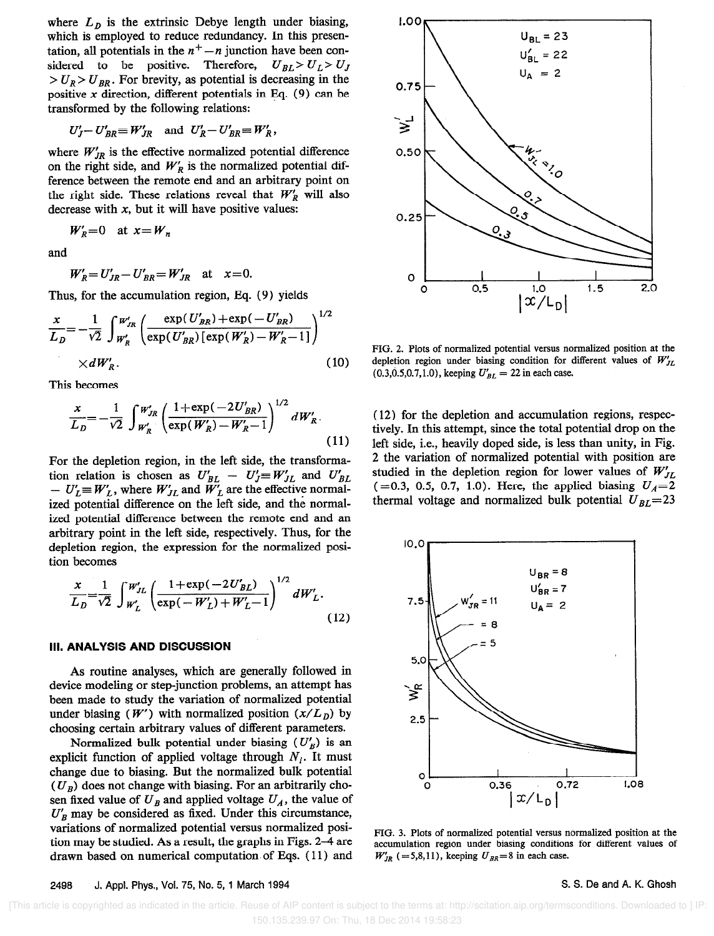where  $L<sub>D</sub>$  is the extrinsic Debye length under biasing, which is employed to reduce redundancy. In this presentation, all potentials in the  $n^+ - n$  junction have been considered to be positive. Therefore,  $U_{BL} > U_L > U_J$  $> U_R > U_{RR}$ . For brevity, as potential is decreasing in the positive  $x$  direction, different potentials in Eq. (9) can be transformed by the following relations:

$$
U'_J - U'_{BR} \equiv W'_{JR} \quad \text{and} \quad U'_R - U'_{BR} \equiv W'_R,
$$

where  $W'_{JR}$  is the effective normalized potential difference on the right side, and  $W'_R$  is the normalized potential difference between the remote end and an arbitrary point on the right side. These relations reveal that  $W'_{R}$  will also decrease with  $x$ , but it will have positive values:

$$
W_R' = 0 \quad \text{at } x = W_n
$$

and

$$
W_R' = U_{JR}' - U_{BR}' = W_{JR}' \quad \text{at} \quad x=0.
$$

Thus, for the accumulation region, Eq. (9) yields

$$
\frac{x}{L_D} = -\frac{1}{\sqrt{2}} \int_{W_R'}^{W_{IR}'} \left( \frac{\exp(U_{BR}') + \exp(-U_{BR}')}{\exp(U_{BR}')[\exp(W_R') - W_R' - 1]} \right)^{1/2} \times dW_R' .
$$
\n(10)

This becomes

$$
\frac{x}{L_D} = -\frac{1}{\sqrt{2}} \int_{W'_R}^{W'_{JR}} \left( \frac{1 + \exp(-2U'_{BR})}{\exp(W'_R) - W'_R - 1} \right)^{1/2} dW'_R.
$$
\n(11)

For the depletion region, in the left side, the transformation relation is chosen as  $U_{BL} - U_{J} \equiv W_{JL}$  and  $U_{BI}$  $- U'_L \equiv W'_L$ , where  $W'_{JL}$  and  $W'_L$  are the effective normalized potential difference on the left side, and the normalized potential difference between the remote end and an arbitrary point in the left side, respectively. Thus, for the depletion region, the expression for the normalized position becomes

$$
\frac{x}{L_D} = \frac{1}{\sqrt{2}} \int_{W'_L}^{W'_{JL}} \left( \frac{1 + \exp(-2U'_{BL})}{\exp(-W'_L) + W'_L - 1} \right)^{1/2} dW'_L.
$$
\n(12)

### III. ANALYSIS AND DISCUSSION

As routine analyses, which are generally followed in device modeling or step-junction problems, an attempt has been made to study the variation of normalized potential under biasing  $(W')$  with normalized position  $(x/L_p)$  by choosing certain arbitrary values of different parameters.

Normalized bulk potential under biasing  $(U'_R)$  is an explicit function of applied voltage through  $N_i$ . It must change due to biasing. But the normalized bulk potential  $(U_B)$  does not change with biasing. For an arbitrarily chosen fixed value of  $U_B$  and applied voltage  $U_A$ , the value of  $U'_B$  may be considered as fixed. Under this circumstance, variations of normalized potential versus normalized position may be studied. As a result, the graphs in Figs. 2-4 are drawn based on numerical computation of Eqs. (11) and



FIG. 2. Plots of normalized potential versus normalized position at the depletion region under biasing condition for different values of  $W'_{IL}$ (0.3,0.5,0.7,1.0), keeping  $U'_{BL} = 22$  in each case.

(12) for the depletion and accumulation regions, respectively. In this attempt, since the total potential drop on the left side, i.e., heavily doped side, is less than unity, in Fig. 2 the variation of normalized potential with position are studied in the depletion region for lower values of  $W'_{IL}$ (=0.3, 0.5, 0.7, 1.0). Here, the applied biasing  $U_A=2$ thermal voltage and normalized bulk potential  $U_{BL}$ =23



FIG. 3. Plots of normalized potential versus normalized position at the accumulation region under biasing conditions for different values of  $W'_{JR}$  (=5,8,11), keeping  $U_{BR}$ =8 in each case.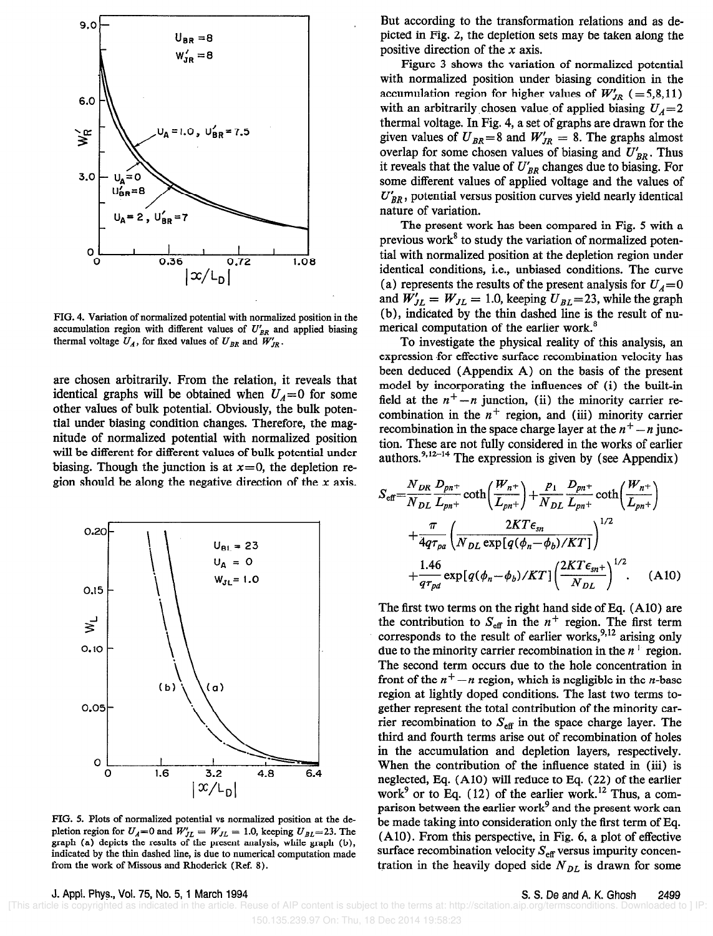

FIG. 4. Variation of normalized potential with normalized position in the accumulation region with different values of  $U'_{BR}$  and applied biasing thermal voltage  $U_A$ , for fixed values of  $U_{BR}$  and  $W'_{IR}$ .

are chosen arbitrarily. From the relation, it reveals that identical graphs will be obtained when  $U_A = 0$  for some other values of bulk potential. Obviously, the bulk potential under biasing condition changes. Therefore, the magnitude of normalized potential with normalized position will be different for different values of bulk potential under biasing. Though the junction is at  $x=0$ , the depletion region should be along the negative direction of the x axis.



FIG. 5. Plots of normalized potential vs normalized position at the depletion region for  $U_A=0$  and  $W'_{JL} = W_{JL} = 1.0$ , keeping  $U_{BL} = 23$ . The graph (a) depicts the results of the present analysis, while graph (b), indicated by the thin dashed line, is due to numerical computation made from the work of Missous and Rhoderick (Ref. 8).

But according to the transformation relations and as depicted in Fig. 2, the depletion sets may be taken along the positive direction of the  $x$  axis.

Figure 3 shows the variation of normalized potential with normalized position under biasing condition in the accumulation region for higher values of  $W'_{JR}$  (=5,8,11) with an arbitrarily chosen value of applied biasing  $U_A=2$ thermal voltage. In Fig. 4, a set of graphs are drawn for the given values of  $U_{BR} = 8$  and  $W'_{IR} = 8$ . The graphs almost overlap for some chosen values of biasing and  $U'_{BR}$ . Thus it reveals that the value of  $U'_{BR}$  changes due to biasing. For some different values of applied voltage and the values of  $U'_{BR}$ , potential versus position curves yield nearly identical nature of variation.

The present work has been compared in Fig. 5 with a previous work' to study the variation of normalized potential with normalized position at the depletion region under identical conditions, i.e., unbiased conditions. The curve (a) represents the results of the present analysis for  $U_A = 0$ and  $W'_{JL} = W_{JL} = 1.0$ , keeping  $U_{BL} = 23$ , while the graph (b), indicated by the thin dashed line is the result of numerical computation of the earlier work.<sup>8</sup>

To investigate the physical reality of this analysis, an expression for effective surface recombination velocity has been deduced (Appendix A) on the basis of the present model by incorporating the influences of (i) the built-in field at the  $n^+-n$  junction, (ii) the minority carrier recombination in the  $n^+$  region, and (iii) minority carrier recombination in the space charge layer at the  $n<sup>+</sup> - n$  junction. These are not fully considered in the works of earlier  $a$ uthors.<sup>9,12-14</sup> The expression is given by (see Appendix)

$$
S_{\text{eff}} = \frac{N_{DR}}{N_{DL}} \frac{D_{pn^{+}}}{L_{pn^{+}}} \coth\left(\frac{W_{n^{+}}}{L_{pn^{+}}}\right) + \frac{p_{1}}{N_{DL}} \frac{D_{pn^{+}}}{L_{pn^{+}}} \coth\left(\frac{W_{n^{+}}}{L_{pn^{+}}}\right) + \frac{\pi}{4q\tau_{pa}} \left(\frac{2KT\epsilon_{sn}}{N_{DL} \exp[q(\phi_{n} - \phi_{b})/KT]}\right)^{1/2} + \frac{1.46}{q\tau_{pd}} \exp[q(\phi_{n} - \phi_{b})/KT] \left(\frac{2KT\epsilon_{sn^{+}}}{N_{DL}}\right)^{1/2} . \tag{A10}
$$

The first two terms on the right hand side of Eq. (AlO) are the contribution to  $S_{\text{eff}}$  in the  $n^+$  region. The first term corresponds to the result of earlier works,<sup>9,12</sup> arising only due to the minority carrier recombination in the  $n^+$  region. The second term occurs due to the hole concentration in front of the  $n^+ - n$  region, which is negligible in the *n*-base region at lightly doped conditions. The last two terms together represent the total contribution of the minority carrier recombination to  $S_{\text{eff}}$  in the space charge layer. The third and fourth terms arise out of recombination of holes in the accumulation and depletion layers, respectively. When the contribution of the influence stated in (iii) is neglected, Eq.  $(A10)$  will reduce to Eq.  $(22)$  of the earlier work<sup>9</sup> or to Eq. (12) of the earlier work.<sup>12</sup> Thus, a comparison between the earlier work<sup>9</sup> and the present work can be made taking into consideration only the first term of Eq. (AlO). From this perspective, in Fig. 6, a plot of effective surface recombination velocity  $S_{\text{eff}}$  versus impurity concentration in the heavily doped side  $N_{DL}$  is drawn for some

J. Appl. Phys., Vol. 75, No. 5, 1 March 1994 S. S. De and A. K. Ghosh 2499

 [This article is copyrighted as indicated in the article. Reuse of AIP content is subject to the terms at: http://scitation.aip.org/termsconditions. Downloaded to ] IP: 150.135.239.97 On: Thu, 18 Dec 2014 19:58:23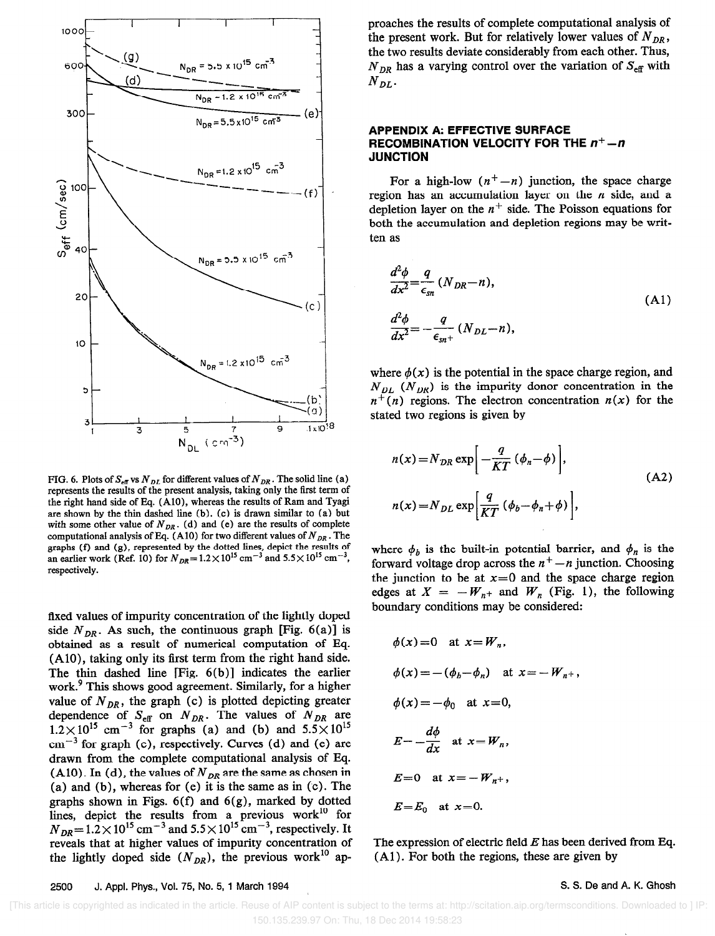

FIG. 6. Plots of  $S_{\text{eff}}$  vs  $N_{DL}$  for different values of  $N_{DR}$ . The solid line (a) represents the results of the present analysis, taking only the first term of the right hand side of Eq. (AlO), whereas the results of Ram and Tyagi are shown by the thin dashed line (b). (c) is drawn similar to (a) but with some other value of  $N_{DR}$ . (d) and (e) are the results of complete computational analysis of Eq. (A10) for two different values of  $N_{DR}$ . The graphs (f) and (g), represented by the dotted lines, depict the results of an earlier work (Ref. 10) for  $N_{DR} = 1.2 \times 10^{15}$  cm<sup>-3</sup> and 5.5 $\times 10^{15}$  cm<sup>-3</sup>, respectively.

fixed values of impurity concentration of the lightly doped side  $N_{DR}$ . As such, the continuous graph [Fig. 6(a)] is obtained as a result of numerical computation of Eq. (AlO), taking only its first term from the right hand side. The thin dashed line [Fig. 6(b)] indicates the earlier work.<sup>9</sup> This shows good agreement. Similarly, for a higher value of  $N_{DR}$ , the graph (c) is plotted depicting greater dependence of  $S_{\text{eff}}$  on  $N_{DR}$ . The values of  $N_{DR}$  are  $1.2\times10^{13}$  cm<sup>-3</sup> for graphs (a) and (b) and  $5.5\times10^{13}$  $cm^{-3}$  for graph (c), respectively. Curves (d) and (e) are drawn from the complete computational analysis of Eq. (AlO). In (d), the values of  $N_{DR}$  are the same as chosen in (a) and (b), whereas for (e) it is the same as in (c). The graphs shown in Figs.  $6(f)$  and  $6(g)$ , marked by dotted lines, depict the results from a previous work" for  $N_{DR}$  = 1.2 × 10<sup>13</sup> cm<sup>-3</sup> and 5.5 × 10<sup>13</sup> cm<sup>-3</sup>, respectively. It reveals that at higher values of impurity concentration of the lightly doped side  $(N_{DR})$ , the previous work<sup>10</sup> ap-

proaches the results of complete computational analysis of the present work. But for relatively lower values of  $N_{DR}$ , the two results deviate considerably from each other. Thus,  $N_{DR}$  has a varying control over the variation of  $S_{\text{eff}}$  with  $N_{DL}$ 

### APPENDIX A: EFFECTIVE SURFACE RECOMBINATION VELOCITY FOR THE  $n^+-n$ **JUNCTION**

For a high-low  $(n<sup>+</sup> - n)$  junction, the space charge region has an accumulation layer on the  $n$  side, and a depletion layer on the  $n^+$  side. The Poisson equations for both the accumulation and depletion regions may be written as

$$
\frac{d^2\phi}{dx^2} = \frac{q}{\epsilon_{sn}} (N_{DR} - n),
$$
  

$$
\frac{d^2\phi}{dx^2} = -\frac{q}{\epsilon_{sn}+} (N_{DL} - n),
$$
 (A1)

where  $\phi(x)$  is the potential in the space charge region, and  $N_{DL}$  ( $N_{DR}$ ) is the impurity donor concentration in the  $n^{+}(n)$  regions. The electron concentration  $n(x)$  for the stated two regions is given by

$$
n(x) = N_{DR} \exp\left[-\frac{q}{KT} (\phi_n - \phi)\right],
$$
  
\n
$$
n(x) = N_{DL} \exp\left[\frac{q}{KT} (\phi_b - \phi_n + \phi)\right],
$$
\n(A2)

where  $\phi_b$  is the built-in potential barrier, and  $\phi_n$  is the forward voltage drop across the  $n<sup>+</sup> - n$  junction. Choosing the junction to be at  $x=0$  and the space charge region edges at  $X = -W_{n+}$  and  $W_n$  (Fig. 1), the following boundary conditions may be considered:

$$
\phi(x) = 0 \quad \text{at } x = W_n,
$$
  
\n
$$
\phi(x) = -(\phi_b - \phi_n) \quad \text{at } x = -W_{n^+},
$$
  
\n
$$
\phi(x) = -\phi_0 \quad \text{at } x = 0,
$$
  
\n
$$
E = -\frac{d\phi}{dx} \quad \text{at } x = W_n,
$$
  
\n
$$
E = 0 \quad \text{at } x = -W_{n^+},
$$
  
\n
$$
E = E_0 \quad \text{at } x = 0.
$$

The expression of electric field  $E$  has been derived from Eq. (Al). For both the regions, these are given by

2500 J. Appl. Phys., Vol. 75, No. 5, 1 March 1994 S. S. De and A. K. Ghosh